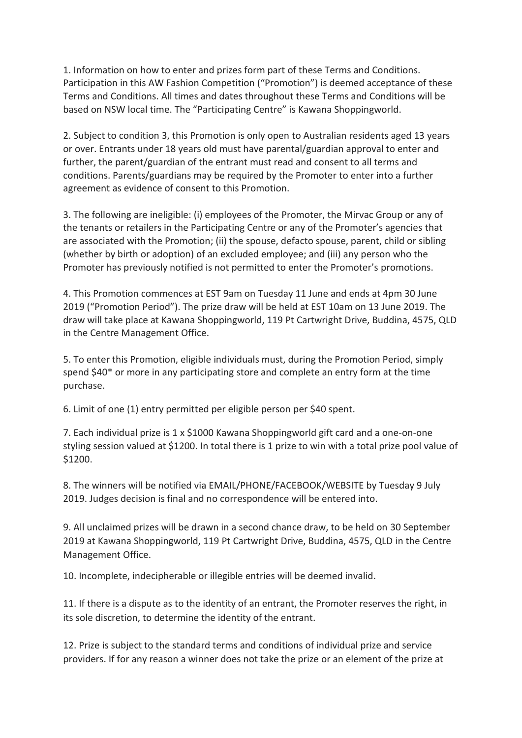1. Information on how to enter and prizes form part of these Terms and Conditions. Participation in this AW Fashion Competition ("Promotion") is deemed acceptance of these Terms and Conditions. All times and dates throughout these Terms and Conditions will be based on NSW local time. The "Participating Centre" is Kawana Shoppingworld.

2. Subject to condition 3, this Promotion is only open to Australian residents aged 13 years or over. Entrants under 18 years old must have parental/guardian approval to enter and further, the parent/guardian of the entrant must read and consent to all terms and conditions. Parents/guardians may be required by the Promoter to enter into a further agreement as evidence of consent to this Promotion.

3. The following are ineligible: (i) employees of the Promoter, the Mirvac Group or any of the tenants or retailers in the Participating Centre or any of the Promoter's agencies that are associated with the Promotion; (ii) the spouse, defacto spouse, parent, child or sibling (whether by birth or adoption) of an excluded employee; and (iii) any person who the Promoter has previously notified is not permitted to enter the Promoter's promotions.

4. This Promotion commences at EST 9am on Tuesday 11 June and ends at 4pm 30 June 2019 ("Promotion Period"). The prize draw will be held at EST 10am on 13 June 2019. The draw will take place at Kawana Shoppingworld, 119 Pt Cartwright Drive, Buddina, 4575, QLD in the Centre Management Office.

5. To enter this Promotion, eligible individuals must, during the Promotion Period, simply spend \$40\* or more in any participating store and complete an entry form at the time purchase.

6. Limit of one (1) entry permitted per eligible person per \$40 spent.

7. Each individual prize is 1 x \$1000 Kawana Shoppingworld gift card and a one-on-one styling session valued at \$1200. In total there is 1 prize to win with a total prize pool value of \$1200.

8. The winners will be notified via EMAIL/PHONE/FACEBOOK/WEBSITE by Tuesday 9 July 2019. Judges decision is final and no correspondence will be entered into.

9. All unclaimed prizes will be drawn in a second chance draw, to be held on 30 September 2019 at Kawana Shoppingworld, 119 Pt Cartwright Drive, Buddina, 4575, QLD in the Centre Management Office.

10. Incomplete, indecipherable or illegible entries will be deemed invalid.

11. If there is a dispute as to the identity of an entrant, the Promoter reserves the right, in its sole discretion, to determine the identity of the entrant.

12. Prize is subject to the standard terms and conditions of individual prize and service providers. If for any reason a winner does not take the prize or an element of the prize at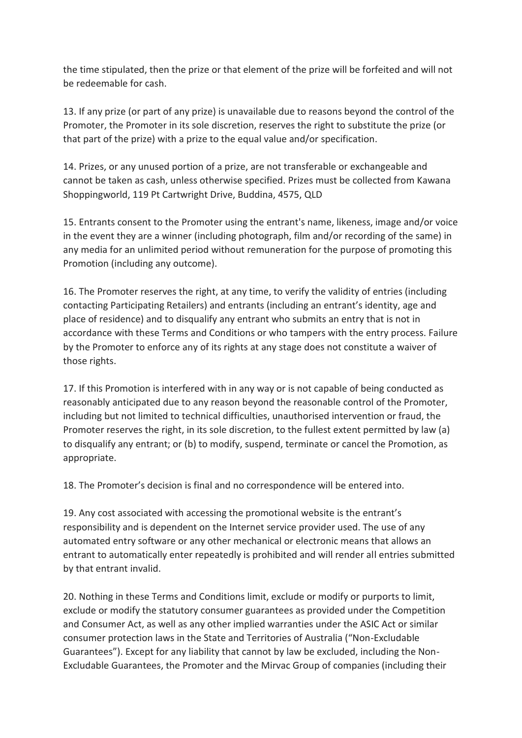the time stipulated, then the prize or that element of the prize will be forfeited and will not be redeemable for cash.

13. If any prize (or part of any prize) is unavailable due to reasons beyond the control of the Promoter, the Promoter in its sole discretion, reserves the right to substitute the prize (or that part of the prize) with a prize to the equal value and/or specification.

14. Prizes, or any unused portion of a prize, are not transferable or exchangeable and cannot be taken as cash, unless otherwise specified. Prizes must be collected from Kawana Shoppingworld, 119 Pt Cartwright Drive, Buddina, 4575, QLD

15. Entrants consent to the Promoter using the entrant's name, likeness, image and/or voice in the event they are a winner (including photograph, film and/or recording of the same) in any media for an unlimited period without remuneration for the purpose of promoting this Promotion (including any outcome).

16. The Promoter reserves the right, at any time, to verify the validity of entries (including contacting Participating Retailers) and entrants (including an entrant's identity, age and place of residence) and to disqualify any entrant who submits an entry that is not in accordance with these Terms and Conditions or who tampers with the entry process. Failure by the Promoter to enforce any of its rights at any stage does not constitute a waiver of those rights.

17. If this Promotion is interfered with in any way or is not capable of being conducted as reasonably anticipated due to any reason beyond the reasonable control of the Promoter, including but not limited to technical difficulties, unauthorised intervention or fraud, the Promoter reserves the right, in its sole discretion, to the fullest extent permitted by law (a) to disqualify any entrant; or (b) to modify, suspend, terminate or cancel the Promotion, as appropriate.

18. The Promoter's decision is final and no correspondence will be entered into.

19. Any cost associated with accessing the promotional website is the entrant's responsibility and is dependent on the Internet service provider used. The use of any automated entry software or any other mechanical or electronic means that allows an entrant to automatically enter repeatedly is prohibited and will render all entries submitted by that entrant invalid.

20. Nothing in these Terms and Conditions limit, exclude or modify or purports to limit, exclude or modify the statutory consumer guarantees as provided under the Competition and Consumer Act, as well as any other implied warranties under the ASIC Act or similar consumer protection laws in the State and Territories of Australia ("Non-Excludable Guarantees"). Except for any liability that cannot by law be excluded, including the Non-Excludable Guarantees, the Promoter and the Mirvac Group of companies (including their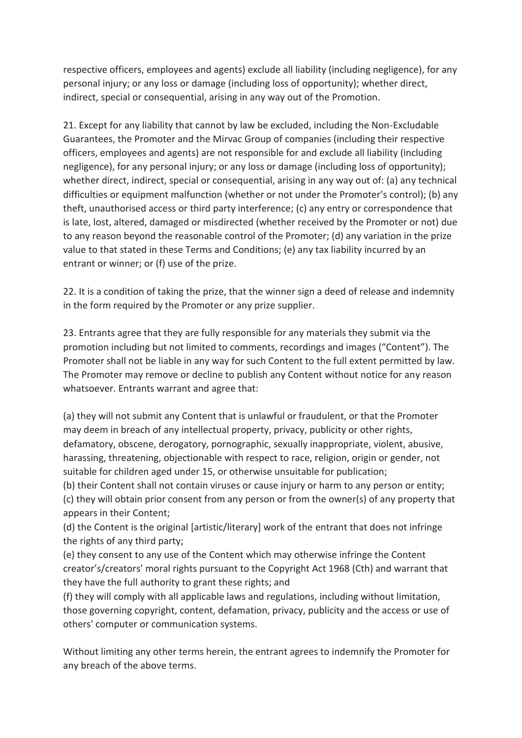respective officers, employees and agents) exclude all liability (including negligence), for any personal injury; or any loss or damage (including loss of opportunity); whether direct, indirect, special or consequential, arising in any way out of the Promotion.

21. Except for any liability that cannot by law be excluded, including the Non-Excludable Guarantees, the Promoter and the Mirvac Group of companies (including their respective officers, employees and agents) are not responsible for and exclude all liability (including negligence), for any personal injury; or any loss or damage (including loss of opportunity); whether direct, indirect, special or consequential, arising in any way out of: (a) any technical difficulties or equipment malfunction (whether or not under the Promoter's control); (b) any theft, unauthorised access or third party interference; (c) any entry or correspondence that is late, lost, altered, damaged or misdirected (whether received by the Promoter or not) due to any reason beyond the reasonable control of the Promoter; (d) any variation in the prize value to that stated in these Terms and Conditions; (e) any tax liability incurred by an entrant or winner; or (f) use of the prize.

22. It is a condition of taking the prize, that the winner sign a deed of release and indemnity in the form required by the Promoter or any prize supplier.

23. Entrants agree that they are fully responsible for any materials they submit via the promotion including but not limited to comments, recordings and images ("Content"). The Promoter shall not be liable in any way for such Content to the full extent permitted by law. The Promoter may remove or decline to publish any Content without notice for any reason whatsoever. Entrants warrant and agree that:

(a) they will not submit any Content that is unlawful or fraudulent, or that the Promoter may deem in breach of any intellectual property, privacy, publicity or other rights, defamatory, obscene, derogatory, pornographic, sexually inappropriate, violent, abusive, harassing, threatening, objectionable with respect to race, religion, origin or gender, not suitable for children aged under 15, or otherwise unsuitable for publication;

(b) their Content shall not contain viruses or cause injury or harm to any person or entity; (c) they will obtain prior consent from any person or from the owner(s) of any property that appears in their Content;

(d) the Content is the original [artistic/literary] work of the entrant that does not infringe the rights of any third party;

(e) they consent to any use of the Content which may otherwise infringe the Content creator's/creators' moral rights pursuant to the Copyright Act 1968 (Cth) and warrant that they have the full authority to grant these rights; and

(f) they will comply with all applicable laws and regulations, including without limitation, those governing copyright, content, defamation, privacy, publicity and the access or use of others' computer or communication systems.

Without limiting any other terms herein, the entrant agrees to indemnify the Promoter for any breach of the above terms.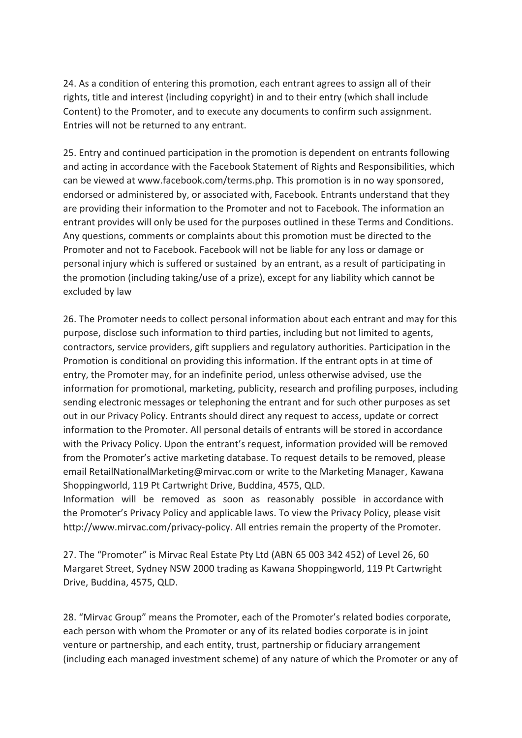24. As a condition of entering this promotion, each entrant agrees to assign all of their rights, title and interest (including copyright) in and to their entry (which shall include Content) to the Promoter, and to execute any documents to confirm such assignment. Entries will not be returned to any entrant.

25. Entry and continued participation in the promotion is dependent on entrants following and acting in accordance with the Facebook Statement of Rights and Responsibilities, which can be viewed at www.facebook.com/terms.php. This promotion is in no way sponsored, endorsed or administered by, or associated with, Facebook. Entrants understand that they are providing their information to the Promoter and not to Facebook. The information an entrant provides will only be used for the purposes outlined in these Terms and Conditions. Any questions, comments or complaints about this promotion must be directed to the Promoter and not to Facebook. Facebook will not be liable for any loss or damage or personal injury which is suffered or sustained by an entrant, as a result of participating in the promotion (including taking/use of a prize), except for any liability which cannot be excluded by law

26. The Promoter needs to collect personal information about each entrant and may for this purpose, disclose such information to third parties, including but not limited to agents, contractors, service providers, gift suppliers and regulatory authorities. Participation in the Promotion is conditional on providing this information. If the entrant opts in at time of entry, the Promoter may, for an indefinite period, unless otherwise advised, use the information for promotional, marketing, publicity, research and profiling purposes, including sending electronic messages or telephoning the entrant and for such other purposes as set out in our Privacy Policy. Entrants should direct any request to access, update or correct information to the Promoter. All personal details of entrants will be stored in accordance with the Privacy Policy. Upon the entrant's request, information provided will be removed from the Promoter's active marketing database. To request details to be removed, please email RetailNationalMarketing@mirvac.com or write to the Marketing Manager, Kawana Shoppingworld, 119 Pt Cartwright Drive, Buddina, 4575, QLD.

Information will be removed as soon as reasonably possible in accordance with the Promoter's Privacy Policy and applicable laws. To view the Privacy Policy, please visit http://www.mirvac.com/privacy-policy. All entries remain the property of the Promoter.

27. The "Promoter" is Mirvac Real Estate Pty Ltd (ABN 65 003 342 452) of Level 26, 60 Margaret Street, Sydney NSW 2000 trading as Kawana Shoppingworld, 119 Pt Cartwright Drive, Buddina, 4575, QLD.

28. "Mirvac Group" means the Promoter, each of the Promoter's related bodies corporate, each person with whom the Promoter or any of its related bodies corporate is in joint venture or partnership, and each entity, trust, partnership or fiduciary arrangement (including each managed investment scheme) of any nature of which the Promoter or any of